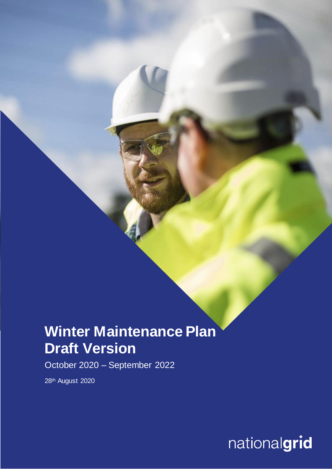# **Winter Maintenance Plan Draft Version**

October 2020 – September 2022

28th August 2020

**Nationalgrid**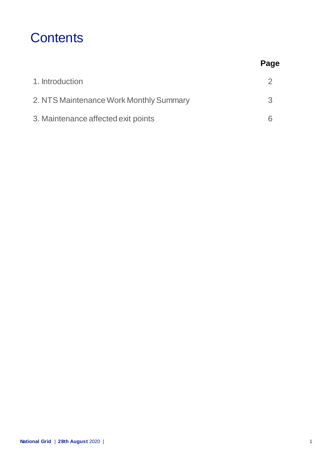### **Contents**

|                                         | Page |
|-----------------------------------------|------|
| 1. Introduction                         |      |
| 2. NTS Maintenance Work Monthly Summary | 3    |
| 3. Maintenance affected exit points     |      |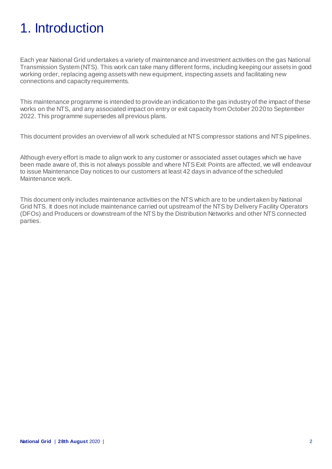# 1. Introduction

Each year National Grid undertakes a variety of maintenance and investment activities on the gas National Transmission System (NTS). This work can take many different forms, including keeping our assets in good working order, replacing ageing assets with new equipment, inspecting assets and facilitating new connections and capacity requirements.

This maintenance programme is intended to provide an indication to the gas industry of the impact of these works on the NTS, and any associated impact on entry or exit capacity from October 2020 to September 2022. This programme supersedes all previous plans.

This document provides an overview of all work scheduled at NTS compressor stations and NTS pipelines.

Although every effort is made to align work to any customer or associated asset outages which we have been made aware of, this is not always possible and where NTS Exit Points are affected, we will endeavour to issue Maintenance Day notices to our customers at least 42 days in advance of the scheduled Maintenance work.

This document only includes maintenance activities on the NTS which are to be undertaken by National Grid NTS. It does not include maintenance carried out upstream of the NTS by Delivery Facility Operators (DFOs) and Producers or downstream of the NTS by the Distribution Networks and other NTS connected parties.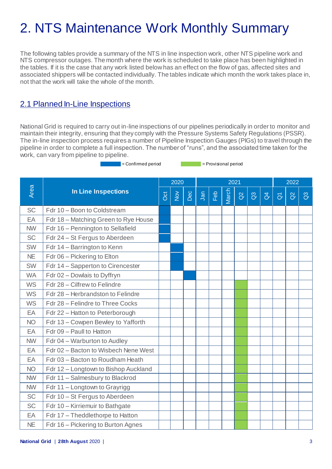# 2. NTS Maintenance Work Monthly Summary

The following tables provide a summary of the NTS in line inspection work, other NTS pipeline work and NTS compressor outages. The month where the work is scheduled to take place has been highlighted in the tables. If it is the case that any work listed belowhas an effect on the flow of gas, affected sites and associated shippers will be contacted individually. The tables indicate which month the work takes place in, not that the work will take the whole of the month.

### 2.1 Planned In-Line Inspections

National Grid is required to carry out in-line inspections of our pipelines periodically in order to monitor and maintain their integrity, ensuring that they comply with the Pressure Systems Safety Regulations (PSSR). The in-line inspection process requires a number of Pipeline Inspection Gauges (PIGs) to travel through the pipeline in order to complete a full inspection. The number of "runs", and the associated time taken for the work, can vary from pipeline to pipeline.

**Example 2** = Confirmed period  $\blacksquare$  = Provisional period

|           |                                      | 2020<br>2021 |        |     |     |     |       | 2022     |                 |                |                     |          |                |
|-----------|--------------------------------------|--------------|--------|-----|-----|-----|-------|----------|-----------------|----------------|---------------------|----------|----------------|
| Area      | <b>In Line Inspections</b>           | Oct          | $\geq$ | Dec | Jan | Feb | March | $\delta$ | $\mathcal{C}^3$ | $\overline{d}$ | $\overline{\sigma}$ | $\delta$ | $\mathbb{S}^3$ |
| <b>SC</b> | Fdr 10 - Boon to Coldstream          |              |        |     |     |     |       |          |                 |                |                     |          |                |
| EA        | Fdr 18 - Matching Green to Rye House |              |        |     |     |     |       |          |                 |                |                     |          |                |
| <b>NW</b> | Fdr 16 - Pennington to Sellafield    |              |        |     |     |     |       |          |                 |                |                     |          |                |
| <b>SC</b> | Fdr 24 - St Fergus to Aberdeen       |              |        |     |     |     |       |          |                 |                |                     |          |                |
| SW        | Fdr 14 - Barrington to Kenn          |              |        |     |     |     |       |          |                 |                |                     |          |                |
| <b>NE</b> | Fdr 06 - Pickering to Elton          |              |        |     |     |     |       |          |                 |                |                     |          |                |
| SW        | Fdr 14 - Sapperton to Cirencester    |              |        |     |     |     |       |          |                 |                |                     |          |                |
| <b>WA</b> | Fdr 02 - Dowlais to Dyffryn          |              |        |     |     |     |       |          |                 |                |                     |          |                |
| <b>WS</b> | Fdr 28 - Cilfrew to Felindre         |              |        |     |     |     |       |          |                 |                |                     |          |                |
| <b>WS</b> | Fdr 28 - Herbrandston to Felindre    |              |        |     |     |     |       |          |                 |                |                     |          |                |
| <b>WS</b> | Fdr 28 – Felindre to Three Cocks     |              |        |     |     |     |       |          |                 |                |                     |          |                |
| EA        | Fdr 22 - Hatton to Peterborough      |              |        |     |     |     |       |          |                 |                |                     |          |                |
| <b>NO</b> | Fdr 13 - Cowpen Bewley to Yafforth   |              |        |     |     |     |       |          |                 |                |                     |          |                |
| EA        | Fdr 09 - Paull to Hatton             |              |        |     |     |     |       |          |                 |                |                     |          |                |
| <b>NW</b> | Fdr 04 - Warburton to Audley         |              |        |     |     |     |       |          |                 |                |                     |          |                |
| EA        | Fdr 02 - Bacton to Wisbech Nene West |              |        |     |     |     |       |          |                 |                |                     |          |                |
| EA        | Fdr 03 - Bacton to Roudham Heath     |              |        |     |     |     |       |          |                 |                |                     |          |                |
| <b>NO</b> | Fdr 12 - Longtown to Bishop Auckland |              |        |     |     |     |       |          |                 |                |                     |          |                |
| <b>NW</b> | Fdr 11 - Salmesbury to Blackrod      |              |        |     |     |     |       |          |                 |                |                     |          |                |
| <b>NW</b> | Fdr 11 - Longtown to Grayrigg        |              |        |     |     |     |       |          |                 |                |                     |          |                |
| SC        | Fdr 10 - St Fergus to Aberdeen       |              |        |     |     |     |       |          |                 |                |                     |          |                |
| <b>SC</b> | Fdr 10 - Kirriemuir to Bathgate      |              |        |     |     |     |       |          |                 |                |                     |          |                |
| EA        | Fdr 17 - Theddlethorpe to Hatton     |              |        |     |     |     |       |          |                 |                |                     |          |                |
| <b>NE</b> | Fdr 16 – Pickering to Burton Agnes   |              |        |     |     |     |       |          |                 |                |                     |          |                |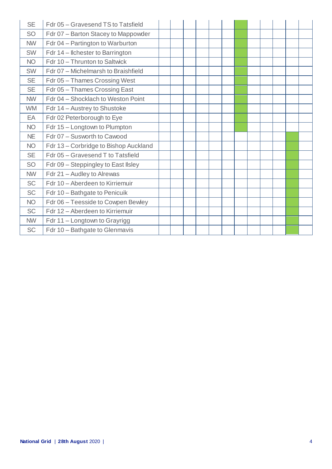| <b>SE</b> | Fdr 05 - Gravesend TS to Tatsfield    |  |  |  |  |  |  |
|-----------|---------------------------------------|--|--|--|--|--|--|
| <b>SO</b> | Fdr 07 - Barton Stacey to Mappowder   |  |  |  |  |  |  |
| <b>NW</b> | Fdr 04 - Partington to Warburton      |  |  |  |  |  |  |
| <b>SW</b> | Fdr 14 – Ilchester to Barrington      |  |  |  |  |  |  |
| <b>NO</b> | Fdr 10 - Thrunton to Saltwick         |  |  |  |  |  |  |
| <b>SW</b> | Fdr 07 - Michelmarsh to Braishfield   |  |  |  |  |  |  |
| <b>SE</b> | Fdr 05 - Thames Crossing West         |  |  |  |  |  |  |
| <b>SE</b> | Fdr 05 - Thames Crossing East         |  |  |  |  |  |  |
| <b>NW</b> | Fdr 04 - Shocklach to Weston Point    |  |  |  |  |  |  |
| <b>WM</b> | Fdr 14 - Austrey to Shustoke          |  |  |  |  |  |  |
| EA        | Fdr 02 Peterborough to Eye            |  |  |  |  |  |  |
| <b>NO</b> | Fdr 15 - Longtown to Plumpton         |  |  |  |  |  |  |
| <b>NE</b> | Fdr 07 - Susworth to Cawood           |  |  |  |  |  |  |
| <b>NO</b> | Fdr 13 - Corbridge to Bishop Auckland |  |  |  |  |  |  |
| <b>SE</b> | Fdr 05 - Gravesend T to Tatsfield     |  |  |  |  |  |  |
| <b>SO</b> | Fdr 09 - Steppingley to East IIsley   |  |  |  |  |  |  |
| <b>NW</b> | Fdr 21 - Audley to Alrewas            |  |  |  |  |  |  |
| <b>SC</b> | Fdr 10 - Aberdeen to Kirriemuir       |  |  |  |  |  |  |
| <b>SC</b> | Fdr 10 - Bathgate to Penicuik         |  |  |  |  |  |  |
| <b>NO</b> | Fdr 06 - Teesside to Cowpen Bewley    |  |  |  |  |  |  |
| <b>SC</b> | Fdr 12 - Aberdeen to Kirriemuir       |  |  |  |  |  |  |
| <b>NW</b> | Fdr 11 - Longtown to Grayrigg         |  |  |  |  |  |  |
| <b>SC</b> | Fdr 10 - Bathgate to Glenmavis        |  |  |  |  |  |  |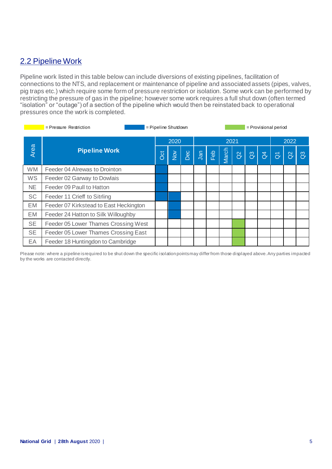### 2.2 Pipeline Work

Pipeline work listed in this table below can include diversions of existing pipelines, facilitation of connections to the NTS, and replacement or maintenance of pipeline and associated assets (pipes, valves, pig traps etc.) which require some form of pressure restriction or isolation. Some work can be performed by restricting the pressure of gas in the pipeline; however some work requires a full shut down (often termed "isolation" or "outage") of a section of the pipeline which would then be reinstated back to operational pressures once the work is completed.

| = Pipeline Shutdown<br>= Provisional period<br>$=$ Pressure Restriction |                                        |            |                         |     |     |     |       |          |                 |                |                   |                     |                |
|-------------------------------------------------------------------------|----------------------------------------|------------|-------------------------|-----|-----|-----|-------|----------|-----------------|----------------|-------------------|---------------------|----------------|
|                                                                         |                                        |            | 2020                    |     |     |     | 2021  |          |                 |                |                   | 2022                |                |
| Area                                                                    | <b>Pipeline Work</b>                   | <b>Oct</b> | $\frac{\delta}{\delta}$ | Dec | Jan | Feb | March | $\alpha$ | $\mathcal{C}^3$ | $\overline{d}$ | $\overline{\eth}$ | $\overline{\alpha}$ | $\mathbb{S}^3$ |
| <b>WM</b>                                                               | Feeder 04 Alrewas to Drointon          |            |                         |     |     |     |       |          |                 |                |                   |                     |                |
| WS                                                                      | Feeder 02 Garway to Dowlais            |            |                         |     |     |     |       |          |                 |                |                   |                     |                |
| <b>NE</b>                                                               | Feeder 09 Paull to Hatton              |            |                         |     |     |     |       |          |                 |                |                   |                     |                |
| <b>SC</b>                                                               | Feeder 11 Crieff to Sitrling           |            |                         |     |     |     |       |          |                 |                |                   |                     |                |
| EM                                                                      | Feeder 07 Kirkstead to East Heckington |            |                         |     |     |     |       |          |                 |                |                   |                     |                |
| EM                                                                      | Feeder 24 Hatton to Silk Willoughby    |            |                         |     |     |     |       |          |                 |                |                   |                     |                |
| <b>SE</b>                                                               | Feeder 05 Lower Thames Crossing West   |            |                         |     |     |     |       |          |                 |                |                   |                     |                |
| <b>SE</b>                                                               | Feeder 05 Lower Thames Crossing East   |            |                         |     |     |     |       |          |                 |                |                   |                     |                |
| EA                                                                      | Feeder 18 Huntingdon to Cambridge      |            |                         |     |     |     |       |          |                 |                |                   |                     |                |

Please note: where a pipeline is required to be shut down the specific isolation points may differ from those displayed above. Any parties impacted by the works are contacted directly.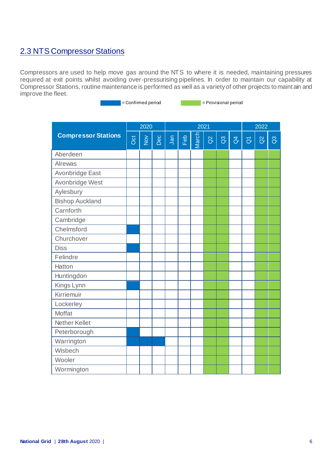### 2.3 NTS Compressor Stations

Compressors are used to help move gas around the NTS to where it is needed, maintaining pressures required at exit points whilst avoiding over-pressurising pipelines. In order to maintain our capability at Compressor Stations, routine maintenance is performed as well as a variety of other projects to maintain and improve the fleet.

= Confirmed period = Provisional period

|                            |     | 2020   |     |     |     | 2022  |          |                |               |                     |          |              |
|----------------------------|-----|--------|-----|-----|-----|-------|----------|----------------|---------------|---------------------|----------|--------------|
| <b>Compressor Stations</b> | Oct | $\geq$ | Dec | Jan | Feb | March | $\alpha$ | $\mathbb{S}^3$ | $\mathcal{L}$ | $\overline{\sigma}$ | $\alpha$ | $\mathbb{S}$ |
| Aberdeen                   |     |        |     |     |     |       |          |                |               |                     |          |              |
| Alrewas                    |     |        |     |     |     |       |          |                |               |                     |          |              |
| Avonbridge East            |     |        |     |     |     |       |          |                |               |                     |          |              |
| Avonbridge West            |     |        |     |     |     |       |          |                |               |                     |          |              |
| Aylesbury                  |     |        |     |     |     |       |          |                |               |                     |          |              |
| <b>Bishop Auckland</b>     |     |        |     |     |     |       |          |                |               |                     |          |              |
| Carnforth                  |     |        |     |     |     |       |          |                |               |                     |          |              |
| Cambridge                  |     |        |     |     |     |       |          |                |               |                     |          |              |
| Chelmsford                 |     |        |     |     |     |       |          |                |               |                     |          |              |
| Churchover                 |     |        |     |     |     |       |          |                |               |                     |          |              |
| <b>Diss</b>                |     |        |     |     |     |       |          |                |               |                     |          |              |
| Felindre                   |     |        |     |     |     |       |          |                |               |                     |          |              |
| Hatton                     |     |        |     |     |     |       |          |                |               |                     |          |              |
| Huntingdon                 |     |        |     |     |     |       |          |                |               |                     |          |              |
| Kings Lynn                 |     |        |     |     |     |       |          |                |               |                     |          |              |
| Kirriemuir                 |     |        |     |     |     |       |          |                |               |                     |          |              |
| Lockerley                  |     |        |     |     |     |       |          |                |               |                     |          |              |
| <b>Moffat</b>              |     |        |     |     |     |       |          |                |               |                     |          |              |
| <b>Nether Kellet</b>       |     |        |     |     |     |       |          |                |               |                     |          |              |
| Peterborough               |     |        |     |     |     |       |          |                |               |                     |          |              |
| Warrington                 |     |        |     |     |     |       |          |                |               |                     |          |              |
| Wisbech                    |     |        |     |     |     |       |          |                |               |                     |          |              |
| Wooler                     |     |        |     |     |     |       |          |                |               |                     |          |              |
| Wormington                 |     |        |     |     |     |       |          |                |               |                     |          |              |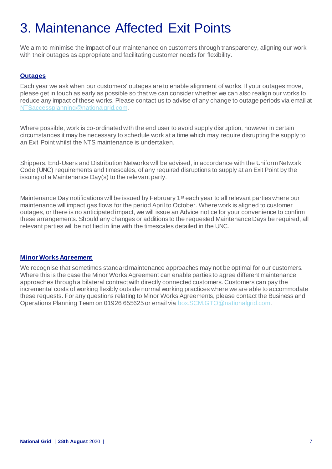## 3. Maintenance Affected Exit Points

We aim to minimise the impact of our maintenance on customers through transparency, aligning our work with their outages as appropriate and facilitating customer needs for flexibility.

#### **Outages**

Each year we ask when our customers' outages are to enable alignment of works. If your outages move, please get in touch as early as possible so that we can consider whether we can also realign our works to reduce any impact of these works. Please contact us to advise of any change to outage periods via email at [NTSaccessplanning@nationalgrid.com](mailto:NTSaccessplanning@nationalgrid.com).

Where possible, work is co-ordinated with the end user to avoid supply disruption, however in certain circumstances it may be necessary to schedule work at a time which may require disrupting the supply to an Exit Point whilst the NTS maintenance is undertaken.

Shippers, End-Users and Distribution Networks will be advised, in accordance with the Uniform Network Code (UNC) requirements and timescales, of any required disruptions to supply at an Exit Point by the issuing of a Maintenance Day(s) to the relevant party.

Maintenance Day notifications will be issued by February 1<sup>st</sup> each year to all relevant parties where our maintenance will impact gas flows for the period April to October. Where work is aligned to customer outages, or there is no anticipated impact, we will issue an Advice notice for your convenience to confirm these arrangements. Should any changes or additions to the requested Maintenance Days be required, all relevant parties will be notified in line with the timescales detailed in the UNC.

#### **Minor Works Agreement**

We recognise that sometimes standard maintenance approaches may not be optimal for our customers. Where this is the case the Minor Works Agreement can enable parties to agree different maintenance approaches through a bilateral contract with directly connected customers. Customers can pay the incremental costs of working flexibly outside normal working practices where we are able to accommodate these requests. For any questions relating to Minor Works Agreements, please contact the Business and Operations Planning Team on 01926 655625 or email via [box.SCM.GTO@nationalgrid.com](mailto:box.SCM.GTO@nationalgrid.com).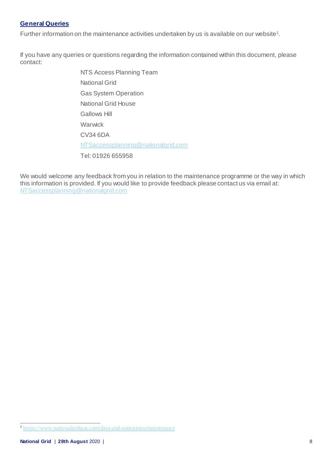### **General Queries**

Further information on the maintenance activities undertaken by us is available on our website<sup>1</sup>.

If you have any queries or questions regarding the information contained within this document, please contact:

> NTS Access Planning Team National Grid Gas System Operation National Grid House Gallows Hill Warwick CV34 6DA [NTSaccessplanning@nationalgrid.com](mailto:NTSaccessplanning@nationalgrid.com) Tel: 01926 655958

We would welcome any feedback from you in relation to the maintenance programme or the way in which this information is provided. If you would like to provide feedback please contact us via email at: [NTSaccessplanning@nationalgrid.com](mailto:NTSaccessplanning@nationalgrid.com)

 1 <https://www.nationalgridgas.com/data-and-operations/maintenance>